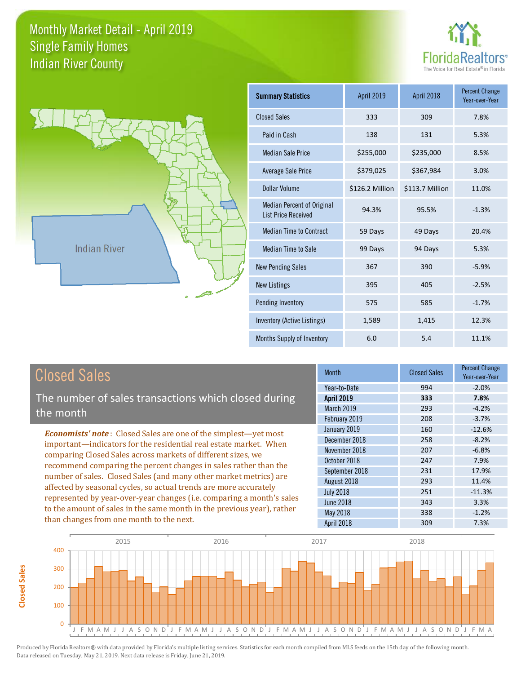



**Closed Sales**

**Closed Sales** 

| <b>Summary Statistics</b>                                       | <b>April 2019</b> | April 2018      | <b>Percent Change</b><br>Year-over-Year |
|-----------------------------------------------------------------|-------------------|-----------------|-----------------------------------------|
| <b>Closed Sales</b>                                             | 333               | 309             | 7.8%                                    |
| Paid in Cash                                                    | 138               | 131             | 5.3%                                    |
| <b>Median Sale Price</b>                                        | \$255,000         | \$235,000       | 8.5%                                    |
| <b>Average Sale Price</b>                                       | \$379,025         | \$367,984       | 3.0%                                    |
| Dollar Volume                                                   | \$126.2 Million   | \$113.7 Million | 11.0%                                   |
| <b>Median Percent of Original</b><br><b>List Price Received</b> | 94.3%             | 95.5%           | $-1.3%$                                 |
| <b>Median Time to Contract</b>                                  | 59 Days           | 49 Days         | 20.4%                                   |
| <b>Median Time to Sale</b>                                      | 99 Days           | 94 Days         | 5.3%                                    |
| <b>New Pending Sales</b>                                        | 367               | 390             | $-5.9%$                                 |
| <b>New Listings</b>                                             | 395               | 405             | $-2.5%$                                 |
| Pending Inventory                                               | 575               | 585             | $-1.7%$                                 |
| Inventory (Active Listings)                                     | 1,589             | 1,415           | 12.3%                                   |
| Months Supply of Inventory                                      | 6.0               | 5.4             | 11.1%                                   |

| <b>Closed Sales</b>                                                                                                                                                                                                                                                        | <b>Month</b>      | <b>Closed Sales</b> | <b>Percent Change</b><br>Year-over-Year |
|----------------------------------------------------------------------------------------------------------------------------------------------------------------------------------------------------------------------------------------------------------------------------|-------------------|---------------------|-----------------------------------------|
|                                                                                                                                                                                                                                                                            | Year-to-Date      | 994                 | $-2.0%$                                 |
| The number of sales transactions which closed during                                                                                                                                                                                                                       | <b>April 2019</b> | 333                 | 7.8%                                    |
| the month                                                                                                                                                                                                                                                                  | March 2019        | 293                 | $-4.2%$                                 |
|                                                                                                                                                                                                                                                                            | February 2019     | 208                 | $-3.7%$                                 |
| <b>Economists' note:</b> Closed Sales are one of the simplest—yet most                                                                                                                                                                                                     | January 2019      | 160                 | $-12.6%$                                |
| important—indicators for the residential real estate market. When                                                                                                                                                                                                          | December 2018     | 258                 | $-8.2%$                                 |
| comparing Closed Sales across markets of different sizes, we<br>recommend comparing the percent changes in sales rather than the<br>number of sales. Closed Sales (and many other market metrics) are<br>affected by seasonal cycles, so actual trends are more accurately | November 2018     | 207                 | $-6.8%$                                 |
|                                                                                                                                                                                                                                                                            | October 2018      | 247                 | 7.9%                                    |
|                                                                                                                                                                                                                                                                            | September 2018    | 231                 | 17.9%                                   |
|                                                                                                                                                                                                                                                                            | August 2018       | 293                 | 11.4%                                   |
|                                                                                                                                                                                                                                                                            | <b>July 2018</b>  | 251                 | $-11.3%$                                |
| represented by year-over-year changes (i.e. comparing a month's sales                                                                                                                                                                                                      | June 2018         | 343                 | 3.3%                                    |
| to the amount of sales in the same month in the previous year), rather                                                                                                                                                                                                     | May 2018          | 338                 | $-1.2%$                                 |
| than changes from one month to the next.                                                                                                                                                                                                                                   | April 2018        | 309                 | 7.3%                                    |

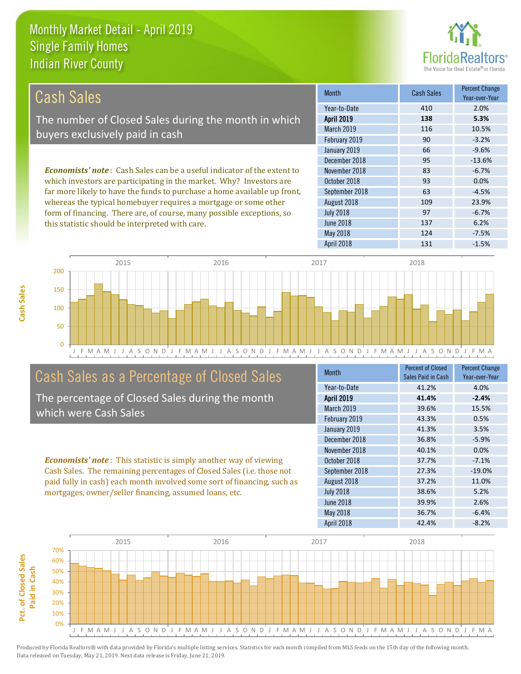this statistic should be interpreted with care.



137 6.2%

| Cash Sales                                                                      | <b>Month</b>      | <b>Cash Sales</b> | <b>Percent Change</b><br>Year-over-Year |
|---------------------------------------------------------------------------------|-------------------|-------------------|-----------------------------------------|
|                                                                                 | Year-to-Date      | 410               | 2.0%                                    |
| The number of Closed Sales during the month in which                            | <b>April 2019</b> | 138               | 5.3%                                    |
| buyers exclusively paid in cash                                                 | <b>March 2019</b> | 116               | 10.5%                                   |
|                                                                                 | February 2019     | 90                | $-3.2%$                                 |
|                                                                                 | January 2019      | 66                | $-9.6%$                                 |
|                                                                                 | December 2018     | 95                | $-13.6%$                                |
| <b>Economists' note</b> : Cash Sales can be a useful indicator of the extent to | November 2018     | 83                | $-6.7%$                                 |
| which investors are participating in the market. Why? Investors are             | October 2018      | 93                | 0.0%                                    |
| far more likely to have the funds to purchase a home available up front,        | September 2018    | 63                | $-4.5%$                                 |
| whereas the typical homebuyer requires a mortgage or some other                 | August 2018       | 109               | 23.9%                                   |
| form of financing. There are, of course, many possible exceptions, so           | <b>July 2018</b>  | 97                | $-6.7%$                                 |

June 2018



#### Cash Sales as a Percentage of Closed Sales

The percentage of Closed Sales during the month which were Cash Sales

*Economists' note* : This statistic is simply another way of viewing Cash Sales. The remaining percentages of Closed Sales (i.e. those not paid fully in cash) each month involved some sort of financing, such as mortgages, owner/seller financing, assumed loans, etc.

| <b>Month</b>      | <b>Percent of Closed</b><br>Sales Paid in Cash | <b>Percent Change</b><br>Year-over-Year |
|-------------------|------------------------------------------------|-----------------------------------------|
| Year-to-Date      | 41.2%                                          | 4.0%                                    |
| <b>April 2019</b> | 41.4%                                          | $-2.4%$                                 |
| March 2019        | 39.6%                                          | 15.5%                                   |
| February 2019     | 43.3%                                          | 0.5%                                    |
| January 2019      | 41.3%                                          | 3.5%                                    |
| December 2018     | 36.8%                                          | $-5.9%$                                 |
| November 2018     | 40.1%                                          | 0.0%                                    |
| October 2018      | 37.7%                                          | $-7.1%$                                 |
| September 2018    | 27.3%                                          | $-19.0%$                                |
| August 2018       | 37.2%                                          | 11.0%                                   |
| <b>July 2018</b>  | 38.6%                                          | 5.2%                                    |
| <b>June 2018</b>  | 39.9%                                          | 2.6%                                    |
| May 2018          | 36.7%                                          | $-6.4%$                                 |
| <b>April 2018</b> | 42.4%                                          | $-8.2%$                                 |

May 2018 124 -7.5%

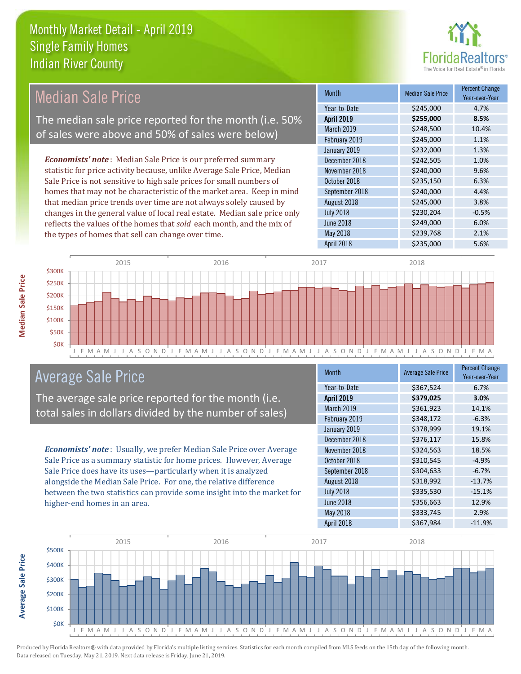

#### Month Median Sale Price Percent Change Year-over-Year April 2019 **\$255,000 8.5%** Year-to-Date \$245,000 4.7% September 2018 \$240,000 4.4% March 2019 **\$248,500** 10.4% February 2019 \$245,000 1.1% November 2018 **\$240,000** 9.6% October 2018 **\$235,150** 6.3% January 2019 **\$232,000** \$234,000 December 2018 **\$242,505** 1.0% August 2018 **\$245,000** 3.8% July 2018 **\$230,204** -0.5% June 2018 **\$249,000** 6.0% May 2018 **3239,768** 2.1% April 2018 \$235,000 5.6% *Economists' note* : Median Sale Price is our preferred summary statistic for price activity because, unlike Average Sale Price, Median Sale Price is not sensitive to high sale prices for small numbers of homes that may not be characteristic of the market area. Keep in mind that median price trends over time are not always solely caused by changes in the general value of local real estate. Median sale price only reflects the values of the homes that *sold* each month, and the mix of the types of homes that sell can change over time. Median Sale Price The median sale price reported for the month (i.e. 50% of sales were above and 50% of sales were below)



#### Average Sale Price

The average sale price reported for the month (i.e. total sales in dollars divided by the number of sales)

*Economists' note* : Usually, we prefer Median Sale Price over Average Sale Price as a summary statistic for home prices. However, Average Sale Price does have its uses—particularly when it is analyzed alongside the Median Sale Price. For one, the relative difference between the two statistics can provide some insight into the market for higher-end homes in an area.

| <b>Month</b>      | <b>Average Sale Price</b> | <b>Percent Change</b><br>Year-over-Year |
|-------------------|---------------------------|-----------------------------------------|
| Year-to-Date      | \$367,524                 | 6.7%                                    |
| <b>April 2019</b> | \$379,025                 | 3.0%                                    |
| March 2019        | \$361,923                 | 14.1%                                   |
| February 2019     | \$348,172                 | $-6.3%$                                 |
| January 2019      | \$378,999                 | 19.1%                                   |
| December 2018     | \$376,117                 | 15.8%                                   |
| November 2018     | \$324,563                 | 18.5%                                   |
| October 2018      | \$310,545                 | $-4.9%$                                 |
| September 2018    | \$304,633                 | $-6.7%$                                 |
| August 2018       | \$318,992                 | $-13.7%$                                |
| <b>July 2018</b>  | \$335,530                 | $-15.1%$                                |
| <b>June 2018</b>  | \$356,663                 | 12.9%                                   |
| May 2018          | \$333,745                 | 2.9%                                    |
| April 2018        | \$367,984                 | $-11.9%$                                |



Produced by Florida Realtors® with data provided by Florida's multiple listing services. Statistics for each month compiled from MLS feeds on the 15th day of the following month. Data released on Tuesday, May 21, 2019. Next data release is Friday, June 21, 2019.

**Average Sale Price**

**Average Sale Price**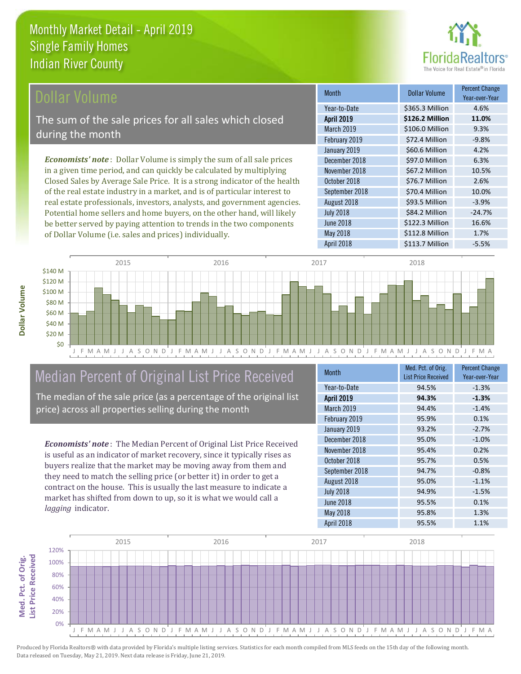

#### Dollar Volume

The sum of the sale prices for all sales which closed during the month

*Economists' note* : Dollar Volume is simply the sum of all sale prices in a given time period, and can quickly be calculated by multiplying Closed Sales by Average Sale Price. It is a strong indicator of the health of the real estate industry in a market, and is of particular interest to real estate professionals, investors, analysts, and government agencies. Potential home sellers and home buyers, on the other hand, will likely be better served by paying attention to trends in the two components of Dollar Volume (i.e. sales and prices) individually.

| <b>Month</b>      | Dollar Volume   | <b>Percent Change</b><br>Year-over-Year |
|-------------------|-----------------|-----------------------------------------|
| Year-to-Date      | \$365.3 Million | 4.6%                                    |
| April 2019        | \$126.2 Million | 11.0%                                   |
| March 2019        | \$106.0 Million | 9.3%                                    |
| February 2019     | \$72.4 Million  | $-9.8%$                                 |
| January 2019      | \$60.6 Million  | 4.2%                                    |
| December 2018     | \$97.0 Million  | 6.3%                                    |
| November 2018     | \$67.2 Million  | 10.5%                                   |
| October 2018      | \$76.7 Million  | 2.6%                                    |
| September 2018    | \$70.4 Million  | 10.0%                                   |
| August 2018       | \$93.5 Million  | $-3.9%$                                 |
| <b>July 2018</b>  | \$84.2 Million  | $-24.7%$                                |
| <b>June 2018</b>  | \$122.3 Million | 16.6%                                   |
| May 2018          | \$112.8 Million | 1.7%                                    |
| <b>April 2018</b> | \$113.7 Million | $-5.5%$                                 |



### Median Percent of Original List Price Received

The median of the sale price (as a percentage of the original list price) across all properties selling during the month

*Economists' note* : The Median Percent of Original List Price Received is useful as an indicator of market recovery, since it typically rises as buyers realize that the market may be moving away from them and they need to match the selling price (or better it) in order to get a contract on the house. This is usually the last measure to indicate a market has shifted from down to up, so it is what we would call a *lagging* indicator.

| <b>Month</b>      | Med. Pct. of Orig.<br><b>List Price Received</b> | <b>Percent Change</b><br>Year-over-Year |
|-------------------|--------------------------------------------------|-----------------------------------------|
| Year-to-Date      | 94.5%                                            | $-1.3%$                                 |
| <b>April 2019</b> | 94.3%                                            | $-1.3%$                                 |
| March 2019        | 94.4%                                            | $-1.4%$                                 |
| February 2019     | 95.9%                                            | 0.1%                                    |
| January 2019      | 93.2%                                            | $-2.7%$                                 |
| December 2018     | 95.0%                                            | $-1.0%$                                 |
| November 2018     | 95.4%                                            | 0.2%                                    |
| October 2018      | 95.7%                                            | 0.5%                                    |
| September 2018    | 94.7%                                            | $-0.8%$                                 |
| August 2018       | 95.0%                                            | $-1.1%$                                 |
| <b>July 2018</b>  | 94.9%                                            | $-1.5%$                                 |
| <b>June 2018</b>  | 95.5%                                            | 0.1%                                    |
| May 2018          | 95.8%                                            | 1.3%                                    |
| <b>April 2018</b> | 95.5%                                            | 1.1%                                    |

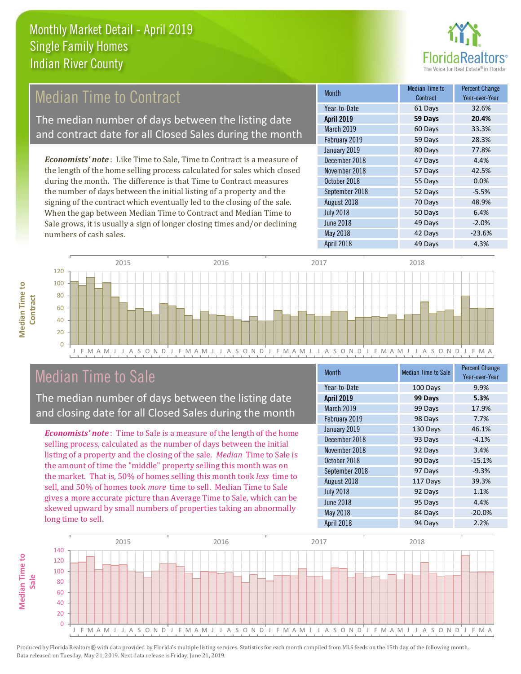

#### Median Time to Contract

The median number of days between the listing date and contract date for all Closed Sales during the month

*Economists' note* : Like Time to Sale, Time to Contract is a measure of the length of the home selling process calculated for sales which closed during the month. The difference is that Time to Contract measures the number of days between the initial listing of a property and the signing of the contract which eventually led to the closing of the sale. When the gap between Median Time to Contract and Median Time to Sale grows, it is usually a sign of longer closing times and/or declining numbers of cash sales.

| Month             | Median Time to<br>Contract | <b>Percent Change</b><br>Year-over-Year |
|-------------------|----------------------------|-----------------------------------------|
| Year-to-Date      | 61 Days                    | 32.6%                                   |
| <b>April 2019</b> | 59 Days                    | 20.4%                                   |
| March 2019        | 60 Days                    | 33.3%                                   |
| February 2019     | 59 Days                    | 28.3%                                   |
| January 2019      | 80 Days                    | 77.8%                                   |
| December 2018     | 47 Days                    | 4.4%                                    |
| November 2018     | 57 Days                    | 42.5%                                   |
| October 2018      | 55 Days                    | 0.0%                                    |
| September 2018    | 52 Days                    | $-5.5%$                                 |
| August 2018       | 70 Days                    | 48.9%                                   |
| <b>July 2018</b>  | 50 Days                    | 6.4%                                    |
| <b>June 2018</b>  | 49 Days                    | $-2.0%$                                 |
| May 2018          | 42 Days                    | $-23.6%$                                |
| April 2018        | 49 Days                    | 4.3%                                    |



#### Median Time to Sale

**Median Time to** 

**Median Time to** 

The median number of days between the listing date and closing date for all Closed Sales during the month

*Economists' note* : Time to Sale is a measure of the length of the home selling process, calculated as the number of days between the initial listing of a property and the closing of the sale. *Median* Time to Sale is the amount of time the "middle" property selling this month was on the market. That is, 50% of homes selling this month took *less* time to sell, and 50% of homes took *more* time to sell. Median Time to Sale gives a more accurate picture than Average Time to Sale, which can be skewed upward by small numbers of properties taking an abnormally long time to sell.

| <b>Month</b>      | <b>Median Time to Sale</b> | <b>Percent Change</b><br>Year-over-Year |
|-------------------|----------------------------|-----------------------------------------|
| Year-to-Date      | 100 Days                   | 9.9%                                    |
| <b>April 2019</b> | 99 Days                    | 5.3%                                    |
| March 2019        | 99 Days                    | 17.9%                                   |
| February 2019     | 98 Days                    | 7.7%                                    |
| January 2019      | 130 Days                   | 46.1%                                   |
| December 2018     | 93 Days                    | $-4.1%$                                 |
| November 2018     | 92 Days                    | 3.4%                                    |
| October 2018      | 90 Days                    | $-15.1%$                                |
| September 2018    | 97 Days                    | $-9.3%$                                 |
| August 2018       | 117 Days                   | 39.3%                                   |
| <b>July 2018</b>  | 92 Days                    | 1.1%                                    |
| <b>June 2018</b>  | 95 Days                    | 4.4%                                    |
| May 2018          | 84 Days                    | $-20.0%$                                |
| April 2018        | 94 Days                    | 2.2%                                    |

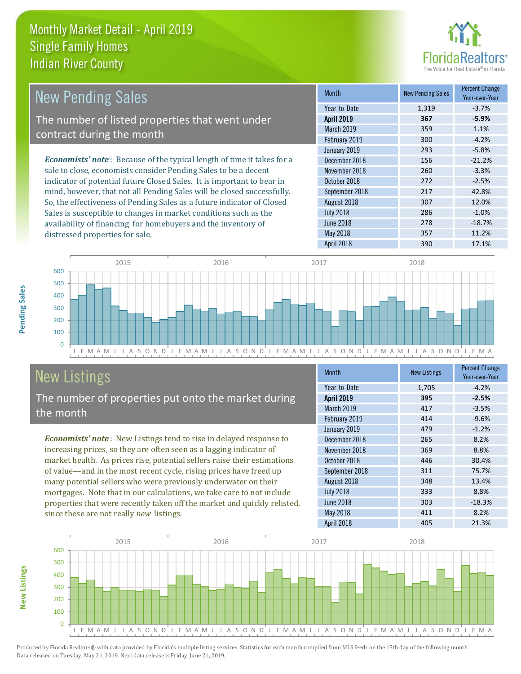

| <b>New Pending Sales</b>                                                      | <b>Month</b>      | <b>New Pending Sales</b> | <b>Percent Change</b><br>Year-over-Year |
|-------------------------------------------------------------------------------|-------------------|--------------------------|-----------------------------------------|
|                                                                               | Year-to-Date      | 1,319                    | $-3.7%$                                 |
| The number of listed properties that went under                               | <b>April 2019</b> | 367                      | $-5.9%$                                 |
| contract during the month                                                     | <b>March 2019</b> | 359                      | 1.1%                                    |
|                                                                               | February 2019     | 300                      | $-4.2%$                                 |
|                                                                               | January 2019      | 293                      | $-5.8%$                                 |
| <b>Economists' note:</b> Because of the typical length of time it takes for a | December 2018     | 156                      | $-21.2%$                                |
| sale to close, economists consider Pending Sales to be a decent               | November 2018     | 260                      | $-3.3%$                                 |
| indicator of potential future Closed Sales. It is important to bear in        | October 2018      | 272                      | $-2.5%$                                 |
| mind, however, that not all Pending Sales will be closed successfully.        | September 2018    | 217                      | 42.8%                                   |
| So, the effectiveness of Pending Sales as a future indicator of Closed        | August 2018       | 307                      | 12.0%                                   |
| Sales is susceptible to changes in market conditions such as the              | <b>July 2018</b>  | 286                      | $-1.0%$                                 |



# New Listings

distressed properties for sale.

The number of properties put onto the market during the month

availability of financing for homebuyers and the inventory of

*Economists' note* : New Listings tend to rise in delayed response to increasing prices, so they are often seen as a lagging indicator of market health. As prices rise, potential sellers raise their estimations of value—and in the most recent cycle, rising prices have freed up many potential sellers who were previously underwater on their mortgages. Note that in our calculations, we take care to not include properties that were recently taken off the market and quickly relisted, since these are not really *new* listings.

| <b>Month</b>      | <b>New Listings</b> | <b>Percent Change</b><br>Year-over-Year |
|-------------------|---------------------|-----------------------------------------|
| Year-to-Date      | 1,705               | $-4.2%$                                 |
| <b>April 2019</b> | 395                 | $-2.5%$                                 |
| March 2019        | 417                 | $-3.5%$                                 |
| February 2019     | 414                 | $-9.6%$                                 |
| January 2019      | 479                 | $-1.2%$                                 |
| December 2018     | 265                 | 8.2%                                    |
| November 2018     | 369                 | 8.8%                                    |
| October 2018      | 446                 | 30.4%                                   |
| September 2018    | 311                 | 75.7%                                   |
| August 2018       | 348                 | 13.4%                                   |
| <b>July 2018</b>  | 333                 | 8.8%                                    |
| June 2018         | 303                 | $-18.3%$                                |
| May 2018          | 411                 | 8.2%                                    |
| April 2018        | 405                 | 21.3%                                   |

June 2018 **278** -18.7% May 2018 357 11.2%



**Pending Sales**

Pending Sales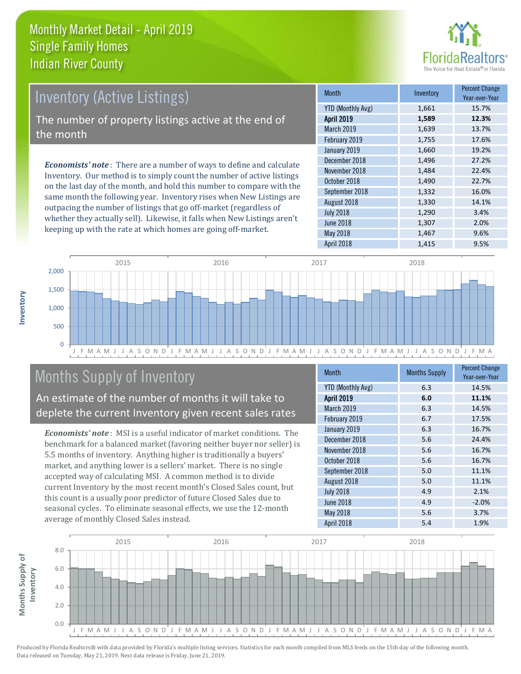

# Inventory (Active Listings) The number of property listings active at the end of the month

*Economists' note* : There are a number of ways to define and calculate Inventory. Our method is to simply count the number of active listings on the last day of the month, and hold this number to compare with the same month the following year. Inventory rises when New Listings are outpacing the number of listings that go off-market (regardless of whether they actually sell). Likewise, it falls when New Listings aren't keeping up with the rate at which homes are going off-market.

| <b>Month</b>             | Inventory | <b>Percent Change</b><br>Year-over-Year |
|--------------------------|-----------|-----------------------------------------|
| <b>YTD (Monthly Avg)</b> | 1,661     | 15.7%                                   |
| <b>April 2019</b>        | 1,589     | 12.3%                                   |
| March 2019               | 1,639     | 13.7%                                   |
| February 2019            | 1,755     | 17.6%                                   |
| January 2019             | 1,660     | 19.2%                                   |
| December 2018            | 1,496     | 27.2%                                   |
| November 2018            | 1,484     | 22.4%                                   |
| October 2018             | 1,490     | 22.7%                                   |
| September 2018           | 1,332     | 16.0%                                   |
| August 2018              | 1,330     | 14.1%                                   |
| <b>July 2018</b>         | 1,290     | 3.4%                                    |
| <b>June 2018</b>         | 1,307     | 2.0%                                    |
| May 2018                 | 1,467     | 9.6%                                    |
| April 2018               | 1,415     | 9.5%                                    |



### Months Supply of Inventory

An estimate of the number of months it will take to deplete the current Inventory given recent sales rates

*Economists' note* : MSI is a useful indicator of market conditions. The benchmark for a balanced market (favoring neither buyer nor seller) is 5.5 months of inventory. Anything higher is traditionally a buyers' market, and anything lower is a sellers' market. There is no single accepted way of calculating MSI. A common method is to divide current Inventory by the most recent month's Closed Sales count, but this count is a usually poor predictor of future Closed Sales due to seasonal cycles. To eliminate seasonal effects, we use the 12-month average of monthly Closed Sales instead.

| <b>Month</b>             | <b>Months Supply</b> | <b>Percent Change</b><br>Year-over-Year |
|--------------------------|----------------------|-----------------------------------------|
| <b>YTD (Monthly Avg)</b> | 6.3                  | 14.5%                                   |
| <b>April 2019</b>        | 6.0                  | 11.1%                                   |
| March 2019               | 6.3                  | 14.5%                                   |
| February 2019            | 6.7                  | 17.5%                                   |
| January 2019             | 6.3                  | 16.7%                                   |
| December 2018            | 5.6                  | 24.4%                                   |
| November 2018            | 5.6                  | 16.7%                                   |
| October 2018             | 5.6                  | 16.7%                                   |
| September 2018           | 5.0                  | 11.1%                                   |
| August 2018              | 5.0                  | 11.1%                                   |
| <b>July 2018</b>         | 4.9                  | 2.1%                                    |
| <b>June 2018</b>         | 4.9                  | $-2.0%$                                 |
| May 2018                 | 5.6                  | 3.7%                                    |
| April 2018               | 5.4                  | 1.9%                                    |

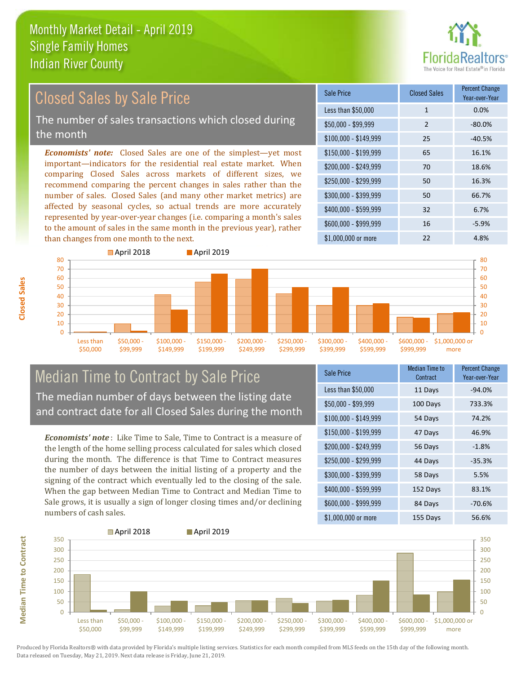

#### *Economists' note:* Closed Sales are one of the simplest—yet most important—indicators for the residential real estate market. When comparing Closed Sales across markets of different sizes, we recommend comparing the percent changes in sales rather than the number of sales. Closed Sales (and many other market metrics) are affected by seasonal cycles, so actual trends are more accurately represented by year-over-year changes (i.e. comparing a month's sales to the amount of sales in the same month in the previous year), rather than changes from one month to the next. \$1,000,000 or more 22 4.8% \$250,000 - \$299,999 50 16.3% \$300,000 - \$399,999 50 66.7% \$400,000 - \$599,999 32 6.7% \$600,000 - \$999,999 16 -5.9% \$150,000 - \$199,999 65 16.1% \$200,000 - \$249,999 70 18.6% \$100,000 - \$149,999 25 -40.5% Sale Price Closed Sales Percent Change Year-over-Year Less than \$50,000 1 1 0.0%  $$50.000 - $99.999$  2 -80.0% Closed Sales by Sale Price The number of sales transactions which closed during the month



#### Median Time to Contract by Sale Price The median number of days between the listing date and contract date for all Closed Sales during the month

*Economists' note* : Like Time to Sale, Time to Contract is a measure of the length of the home selling process calculated for sales which closed during the month. The difference is that Time to Contract measures the number of days between the initial listing of a property and the signing of the contract which eventually led to the closing of the sale. When the gap between Median Time to Contract and Median Time to Sale grows, it is usually a sign of longer closing times and/or declining numbers of cash sales.

| <b>Sale Price</b>     | <b>Median Time to</b><br>Contract | <b>Percent Change</b><br>Year-over-Year |
|-----------------------|-----------------------------------|-----------------------------------------|
| Less than \$50,000    | 11 Days                           | $-94.0%$                                |
| $$50,000 - $99,999$   | 100 Days                          | 733.3%                                  |
| $$100,000 - $149,999$ | 54 Days                           | 74.2%                                   |
| $$150,000 - $199,999$ | 47 Days                           | 46.9%                                   |
| \$200,000 - \$249,999 | 56 Days                           | $-1.8%$                                 |
| \$250,000 - \$299,999 | 44 Days                           | $-35.3%$                                |
| \$300,000 - \$399,999 | 58 Days                           | 5.5%                                    |
| \$400,000 - \$599,999 | 152 Days                          | 83.1%                                   |
| \$600,000 - \$999,999 | 84 Days                           | $-70.6%$                                |
| \$1,000,000 or more   | 155 Days                          | 56.6%                                   |



**Closed Sales**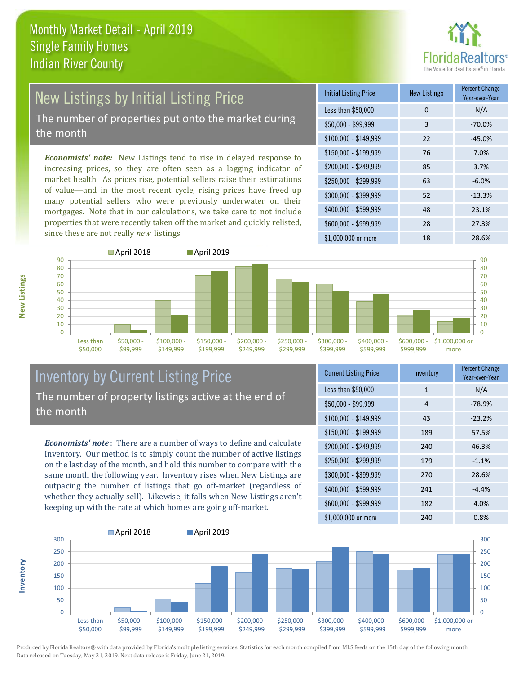

# New Listings by Initial Listing Price

The number of properties put onto the market during the month

*Economists' note:* New Listings tend to rise in delayed response to increasing prices, so they are often seen as a lagging indicator of market health. As prices rise, potential sellers raise their estimations of value—and in the most recent cycle, rising prices have freed up many potential sellers who were previously underwater on their mortgages. Note that in our calculations, we take care to not include properties that were recently taken off the market and quickly relisted, since these are not really *new* listings.

| <b>Initial Listing Price</b> | <b>New Listings</b> | <b>Percent Change</b><br>Year-over-Year |
|------------------------------|---------------------|-----------------------------------------|
| Less than \$50,000           | 0                   | N/A                                     |
| $$50,000 - $99,999$          | 3                   | $-70.0%$                                |
| $$100,000 - $149,999$        | 22                  | $-45.0%$                                |
| $$150,000 - $199,999$        | 76                  | 7.0%                                    |
| \$200,000 - \$249,999        | 85                  | 3.7%                                    |
| \$250,000 - \$299,999        | 63                  | $-6.0%$                                 |
| \$300,000 - \$399,999        | 52                  | $-13.3%$                                |
| \$400,000 - \$599,999        | 48                  | 23.1%                                   |
| \$600,000 - \$999,999        | 28                  | 27.3%                                   |
| \$1,000,000 or more          | 18                  | 28.6%                                   |



#### Inventory by Current Listing Price The number of property listings active at the end of the month

*Economists' note* : There are a number of ways to define and calculate Inventory. Our method is to simply count the number of active listings on the last day of the month, and hold this number to compare with the same month the following year. Inventory rises when New Listings are outpacing the number of listings that go off-market (regardless of whether they actually sell). Likewise, it falls when New Listings aren't keeping up with the rate at which homes are going off-market.

| <b>Current Listing Price</b> | Inventory | Percent Change<br>Year-over-Year |
|------------------------------|-----------|----------------------------------|
| Less than \$50,000           | 1         | N/A                              |
| \$50,000 - \$99,999          | 4         | $-78.9%$                         |
| $$100,000 - $149,999$        | 43        | $-23.2%$                         |
| $$150,000 - $199,999$        | 189       | 57.5%                            |
| \$200,000 - \$249,999        | 240       | 46.3%                            |
| \$250,000 - \$299,999        | 179       | $-1.1%$                          |
| \$300,000 - \$399,999        | 270       | 28.6%                            |
| \$400,000 - \$599,999        | 241       | $-4.4%$                          |
| \$600,000 - \$999,999        | 182       | 4.0%                             |
| \$1,000,000 or more          | 240       | 0.8%                             |



**Inventory**